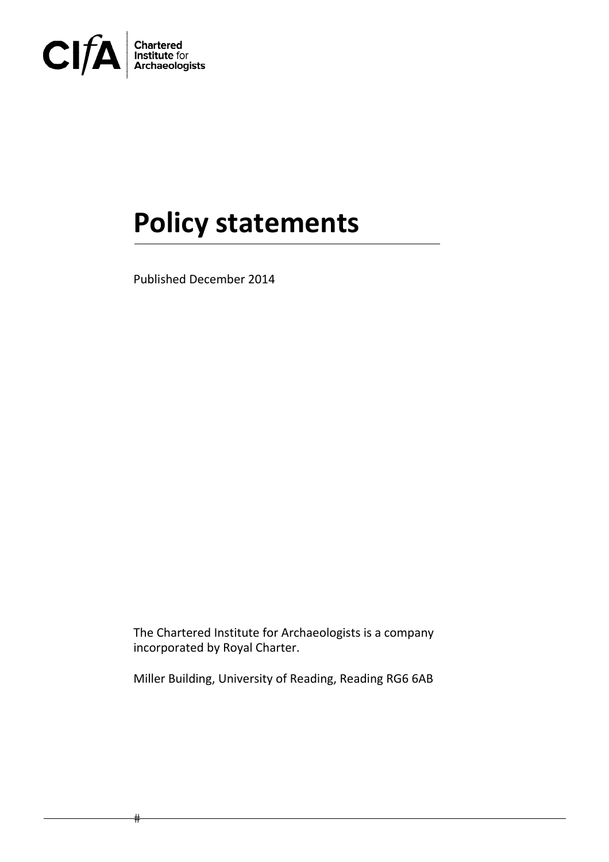

# **Policy statements**

Published December 2014

The Chartered Institute for Archaeologists is a company incorporated by Royal Charter.

Miller Building, University of Reading, Reading RG6 6AB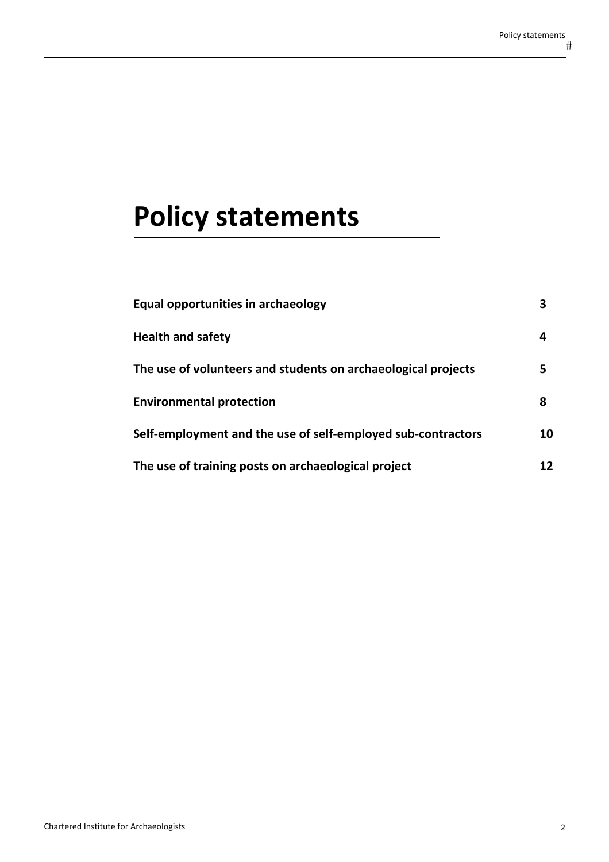# **Policy statements**

| Equal opportunities in archaeology                            |    |
|---------------------------------------------------------------|----|
| <b>Health and safety</b>                                      | 4  |
| The use of volunteers and students on archaeological projects | 5  |
| <b>Environmental protection</b>                               | 8  |
| Self-employment and the use of self-employed sub-contractors  | 10 |
| The use of training posts on archaeological project           | 12 |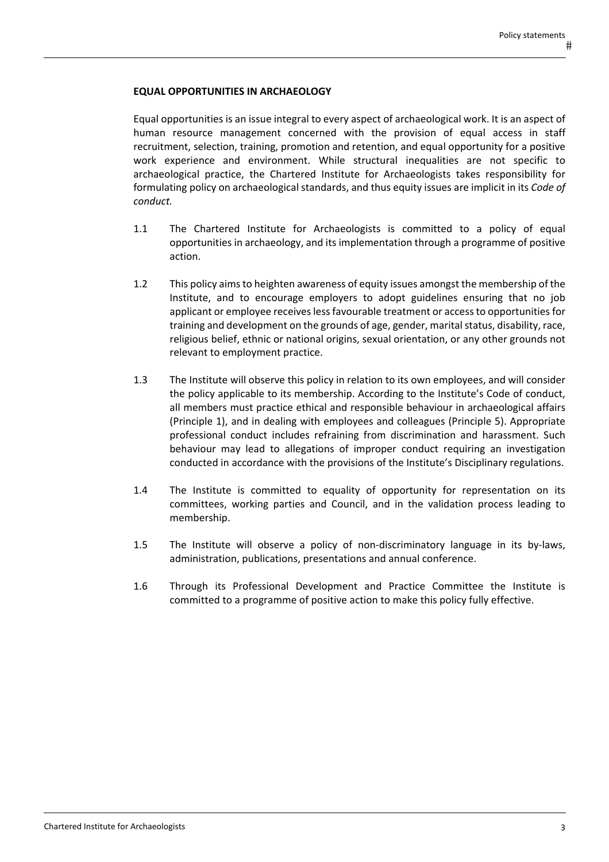### **EQUAL OPPORTUNITIES IN ARCHAEOLOGY**

Equal opportunities is an issue integral to every aspect of archaeological work. It is an aspect of human resource management concerned with the provision of equal access in staff recruitment, selection, training, promotion and retention, and equal opportunity for a positive work experience and environment. While structural inequalities are not specific to archaeological practice, the Chartered Institute for Archaeologists takes responsibility for formulating policy on archaeological standards, and thus equity issues are implicit in its *Code of conduct.*

- 1.1 The Chartered Institute for Archaeologists is committed to a policy of equal opportunities in archaeology, and its implementation through a programme of positive action.
- 1.2 This policy aimsto heighten awareness of equity issues amongst the membership of the Institute, and to encourage employers to adopt guidelines ensuring that no job applicant or employee receiveslessfavourable treatment or accessto opportunities for training and development on the grounds of age, gender, marital status, disability, race, religious belief, ethnic or national origins, sexual orientation, or any other grounds not relevant to employment practice.
- 1.3 The Institute will observe this policy in relation to its own employees, and will consider the policy applicable to its membership. According to the Institute's Code of conduct, all members must practice ethical and responsible behaviour in archaeological affairs (Principle 1), and in dealing with employees and colleagues (Principle 5). Appropriate professional conduct includes refraining from discrimination and harassment. Such behaviour may lead to allegations of improper conduct requiring an investigation conducted in accordance with the provisions of the Institute's Disciplinary regulations.
- 1.4 The Institute is committed to equality of opportunity for representation on its committees, working parties and Council, and in the validation process leading to membership.
- 1.5 The Institute will observe a policy of non‐discriminatory language in its by‐laws, administration, publications, presentations and annual conference.
- 1.6 Through its Professional Development and Practice Committee the Institute is committed to a programme of positive action to make this policy fully effective.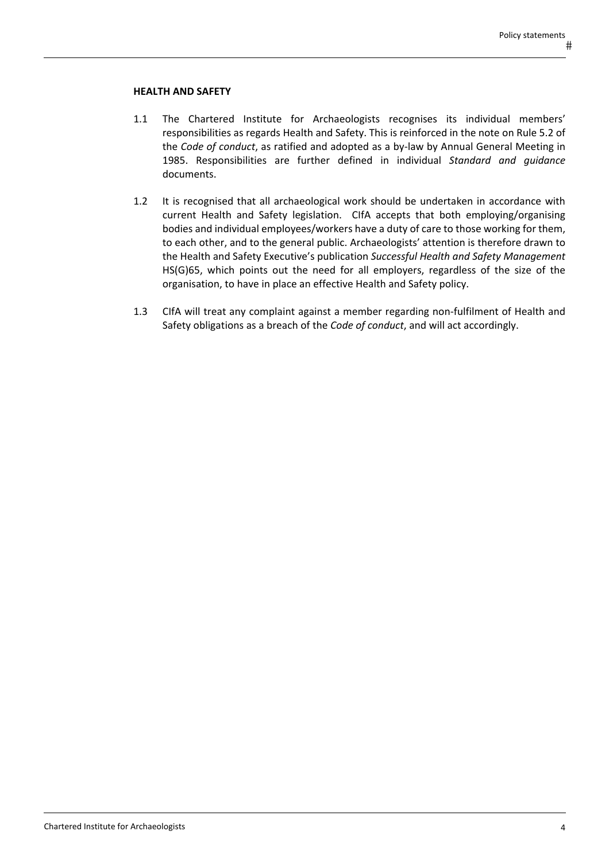#### **HEALTH AND SAFETY**

- 1.1 The Chartered Institute for Archaeologists recognises its individual members' responsibilities as regards Health and Safety. This is reinforced in the note on Rule 5.2 of the *Code of conduct*, as ratified and adopted as a by‐law by Annual General Meeting in 1985. Responsibilities are further defined in individual *Standard and guidance* documents.
- 1.2 It is recognised that all archaeological work should be undertaken in accordance with current Health and Safety legislation. CIfA accepts that both employing/organising bodies and individual employees/workers have a duty of care to those working for them, to each other, and to the general public. Archaeologists' attention is therefore drawn to the Health and Safety Executive's publication *Successful Health and Safety Management* HS(G)65, which points out the need for all employers, regardless of the size of the organisation, to have in place an effective Health and Safety policy.
- 1.3 CIfA will treat any complaint against a member regarding non‐fulfilment of Health and Safety obligations as a breach of the *Code of conduct*, and will act accordingly.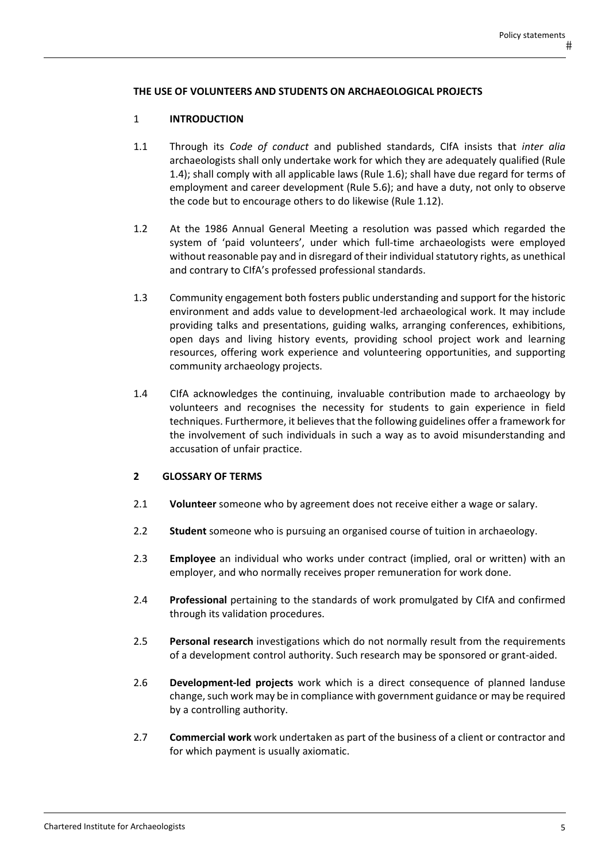### **THE USE OF VOLUNTEERS AND STUDENTS ON ARCHAEOLOGICAL PROJECTS**

## 1 **INTRODUCTION**

- 1.1 Through its *Code of conduct* and published standards, CIfA insists that *inter alia* archaeologists shall only undertake work for which they are adequately qualified (Rule 1.4); shall comply with all applicable laws (Rule 1.6); shall have due regard for terms of employment and career development (Rule 5.6); and have a duty, not only to observe the code but to encourage others to do likewise (Rule 1.12).
- 1.2 At the 1986 Annual General Meeting a resolution was passed which regarded the system of 'paid volunteers', under which full‐time archaeologists were employed without reasonable pay and in disregard of their individualstatutory rights, as unethical and contrary to CIfA's professed professional standards.
- 1.3 Community engagement both fosters public understanding and support for the historic environment and adds value to development‐led archaeological work. It may include providing talks and presentations, guiding walks, arranging conferences, exhibitions, open days and living history events, providing school project work and learning resources, offering work experience and volunteering opportunities, and supporting community archaeology projects.
- 1.4 CIfA acknowledges the continuing, invaluable contribution made to archaeology by volunteers and recognises the necessity for students to gain experience in field techniques. Furthermore, it believes that the following guidelines offer a framework for the involvement of such individuals in such a way as to avoid misunderstanding and accusation of unfair practice.

#### **2 GLOSSARY OF TERMS**

- 2.1 **Volunteer** someone who by agreement does not receive either a wage or salary.
- 2.2 **Student** someone who is pursuing an organised course of tuition in archaeology.
- 2.3 **Employee** an individual who works under contract (implied, oral or written) with an employer, and who normally receives proper remuneration for work done.
- 2.4 **Professional** pertaining to the standards of work promulgated by CIfA and confirmed through its validation procedures.
- 2.5 **Personal research** investigations which do not normally result from the requirements of a development control authority. Such research may be sponsored or grant‐aided.
- 2.6 **Development‐led projects** work which is a direct consequence of planned landuse change, such work may be in compliance with government guidance or may be required by a controlling authority.
- 2.7 **Commercial work** work undertaken as part of the business of a client or contractor and for which payment is usually axiomatic.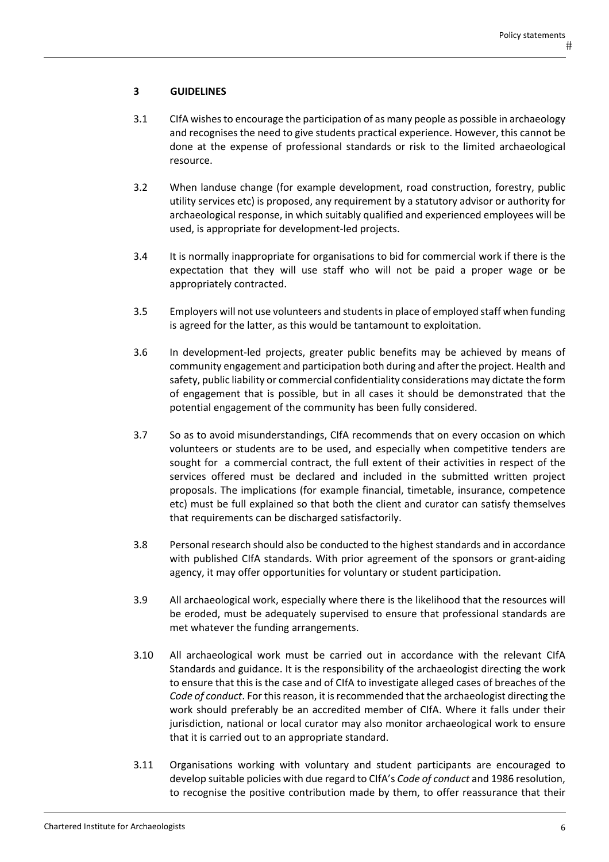# **3 GUIDELINES**

- 3.1 CIfA wishesto encourage the participation of as many people as possible in archaeology and recognises the need to give students practical experience. However, this cannot be done at the expense of professional standards or risk to the limited archaeological resource.
- 3.2 When landuse change (for example development, road construction, forestry, public utility services etc) is proposed, any requirement by a statutory advisor or authority for archaeological response, in which suitably qualified and experienced employees will be used, is appropriate for development‐led projects.
- 3.4 It is normally inappropriate for organisations to bid for commercial work if there is the expectation that they will use staff who will not be paid a proper wage or be appropriately contracted.
- 3.5 Employers will not use volunteers and studentsin place of employed staff when funding is agreed for the latter, as this would be tantamount to exploitation.
- 3.6 In development‐led projects, greater public benefits may be achieved by means of community engagement and participation both during and after the project. Health and safety, public liability or commercial confidentiality considerations may dictate the form of engagement that is possible, but in all cases it should be demonstrated that the potential engagement of the community has been fully considered.
- 3.7 So as to avoid misunderstandings, CIfA recommends that on every occasion on which volunteers or students are to be used, and especially when competitive tenders are sought for a commercial contract, the full extent of their activities in respect of the services offered must be declared and included in the submitted written project proposals. The implications (for example financial, timetable, insurance, competence etc) must be full explained so that both the client and curator can satisfy themselves that requirements can be discharged satisfactorily.
- 3.8 Personal research should also be conducted to the higheststandards and in accordance with published CIfA standards. With prior agreement of the sponsors or grant‐aiding agency, it may offer opportunities for voluntary or student participation.
- 3.9 All archaeological work, especially where there is the likelihood that the resources will be eroded, must be adequately supervised to ensure that professional standards are met whatever the funding arrangements.
- 3.10 All archaeological work must be carried out in accordance with the relevant CIfA Standards and guidance. It is the responsibility of the archaeologist directing the work to ensure that this is the case and of CIfA to investigate alleged cases of breaches of the *Code of conduct*. For thisreason, it isrecommended that the archaeologist directing the work should preferably be an accredited member of CIfA. Where it falls under their jurisdiction, national or local curator may also monitor archaeological work to ensure that it is carried out to an appropriate standard.
- 3.11 Organisations working with voluntary and student participants are encouraged to develop suitable policies with due regard to CIfA's *Code of conduct* and 1986 resolution, to recognise the positive contribution made by them, to offer reassurance that their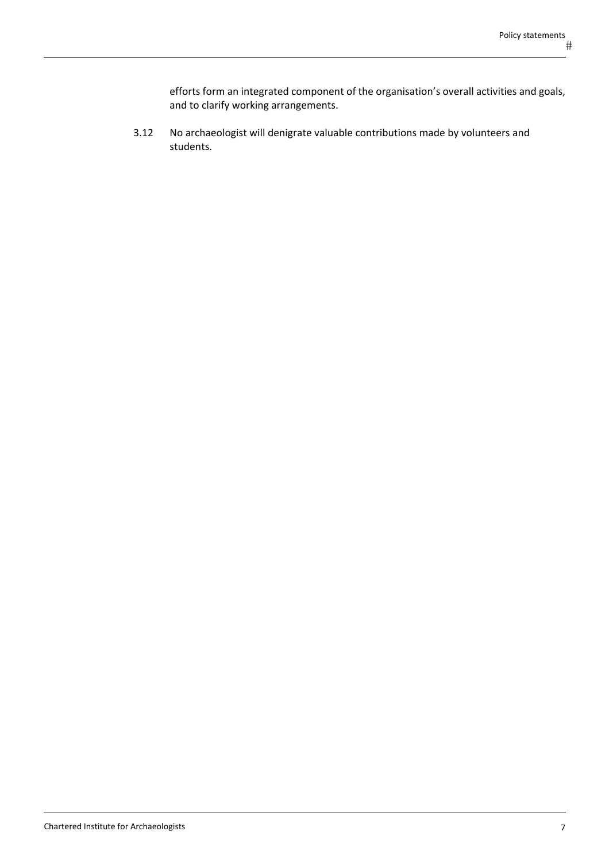efforts form an integrated component of the organisation's overall activities and goals, and to clarify working arrangements.

3.12 No archaeologist will denigrate valuable contributions made by volunteers and students.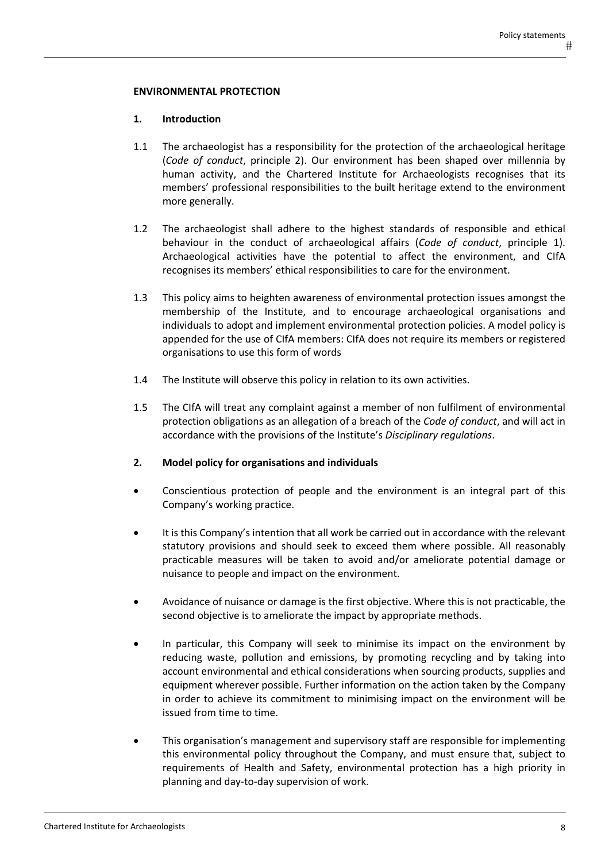### **ENVIRONMENTAL PROTECTION**

### **1. Introduction**

- 1.1 The archaeologist has a responsibility for the protection of the archaeological heritage (*Code of conduct*, principle 2). Our environment has been shaped over millennia by human activity, and the Chartered Institute for Archaeologists recognises that its members' professional responsibilities to the built heritage extend to the environment more generally.
- 1.2 The archaeologist shall adhere to the highest standards of responsible and ethical behaviour in the conduct of archaeological affairs (*Code of conduct*, principle 1). Archaeological activities have the potential to affect the environment, and CIfA recognises its members' ethical responsibilities to care for the environment.
- 1.3 This policy aims to heighten awareness of environmental protection issues amongst the membership of the Institute, and to encourage archaeological organisations and individuals to adopt and implement environmental protection policies. A model policy is appended for the use of CIfA members: CIfA does not require its members or registered organisations to use this form of words
- 1.4 The Institute will observe this policy in relation to its own activities.
- 1.5 The CIfA will treat any complaint against a member of non fulfilment of environmental protection obligations as an allegation of a breach of the *Code of conduct*, and will act in accordance with the provisions of the Institute's *Disciplinary regulations*.

#### **2. Model policy for organisations and individuals**

- Conscientious protection of people and the environment is an integral part of this Company's working practice.
- It is this Company's intention that all work be carried out in accordance with the relevant statutory provisions and should seek to exceed them where possible. All reasonably practicable measures will be taken to avoid and/or ameliorate potential damage or nuisance to people and impact on the environment.
- Avoidance of nuisance or damage is the first objective. Where this is not practicable, the second objective is to ameliorate the impact by appropriate methods.
- In particular, this Company will seek to minimise its impact on the environment by reducing waste, pollution and emissions, by promoting recycling and by taking into account environmental and ethical considerations when sourcing products, supplies and equipment wherever possible. Further information on the action taken by the Company in order to achieve its commitment to minimising impact on the environment will be issued from time to time.
- This organisation's management and supervisory staff are responsible for implementing this environmental policy throughout the Company, and must ensure that, subject to requirements of Health and Safety, environmental protection has a high priority in planning and day‐to‐day supervision of work.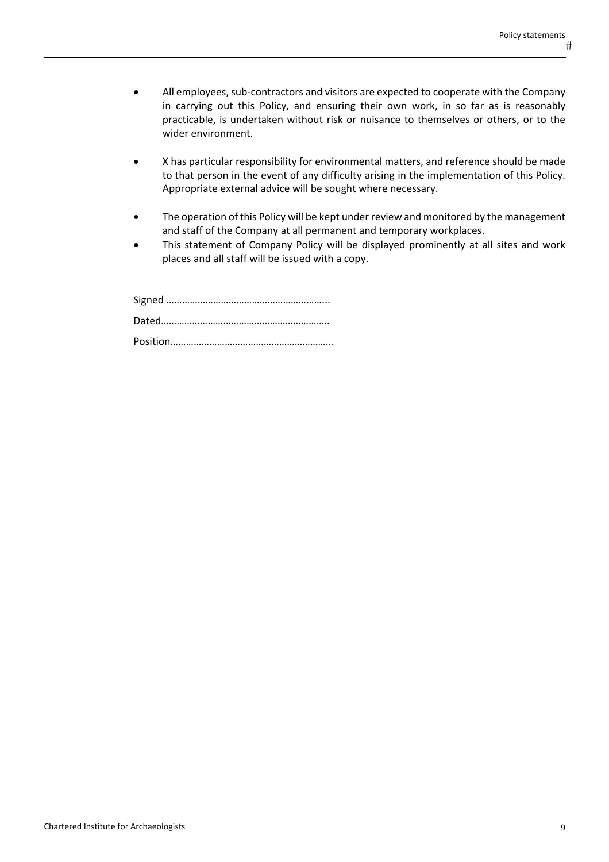- All employees, sub-contractors and visitors are expected to cooperate with the Company in carrying out this Policy, and ensuring their own work, in so far as is reasonably practicable, is undertaken without risk or nuisance to themselves or others, or to the wider environment.
- X has particular responsibility for environmental matters, and reference should be made to that person in the event of any difficulty arising in the implementation of this Policy. Appropriate external advice will be sought where necessary.
- The operation of this Policy will be kept under review and monitored by the management and staff of the Company at all permanent and temporary workplaces.
- This statement of Company Policy will be displayed prominently at all sites and work places and all staff will be issued with a copy.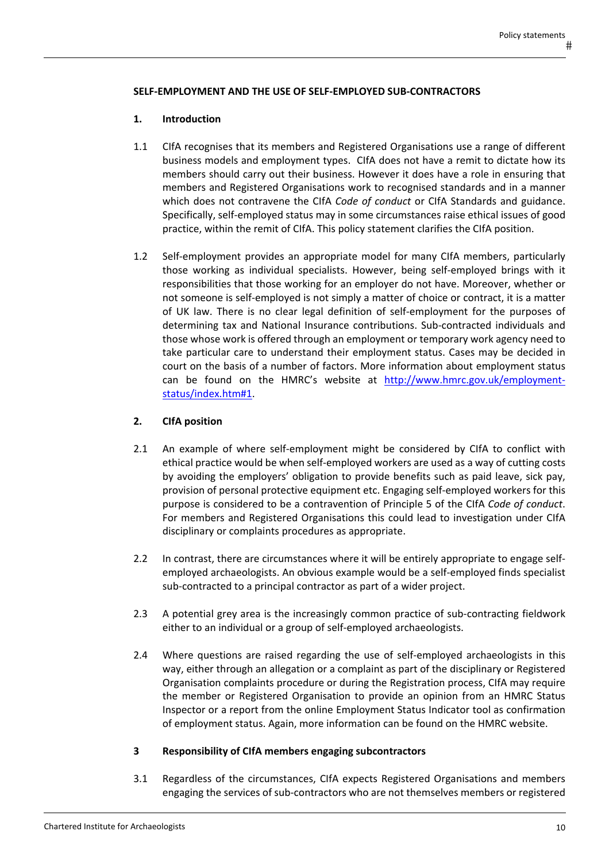#### **SELF‐EMPLOYMENT AND THE USE OF SELF‐EMPLOYED SUB‐CONTRACTORS**

#### **1. Introduction**

- 1.1 CIfA recognises that its members and Registered Organisations use a range of different business models and employment types. CIfA does not have a remit to dictate how its members should carry out their business. However it does have a role in ensuring that members and Registered Organisations work to recognised standards and in a manner which does not contravene the CIfA *Code of conduct* or CIfA Standards and guidance. Specifically, self‐employed status may in some circumstances raise ethical issues of good practice, within the remit of CIfA. This policy statement clarifies the CIfA position.
- 1.2 Self‐employment provides an appropriate model for many CIfA members, particularly those working as individual specialists. However, being self‐employed brings with it responsibilities that those working for an employer do not have. Moreover, whether or not someone is self‐employed is not simply a matter of choice or contract, it is a matter of UK law. There is no clear legal definition of self‐employment for the purposes of determining tax and National Insurance contributions. Sub‐contracted individuals and those whose work is offered through an employment or temporary work agency need to take particular care to understand their employment status. Cases may be decided in court on the basis of a number of factors. More information about employment status can be found on the HMRC's website at http://www.hmrc.gov.uk/employmentstatus/index.htm#1.

## **2. CIfA position**

- 2.1 An example of where self-employment might be considered by CIfA to conflict with ethical practice would be when self‐employed workers are used as a way of cutting costs by avoiding the employers' obligation to provide benefits such as paid leave, sick pay, provision of personal protective equipment etc. Engaging self-employed workers for this purpose is considered to be a contravention of Principle 5 of the CIfA *Code of conduct*. For members and Registered Organisations this could lead to investigation under CIfA disciplinary or complaints procedures as appropriate.
- 2.2 In contrast, there are circumstances where it will be entirely appropriate to engage selfemployed archaeologists. An obvious example would be a self‐employed finds specialist sub-contracted to a principal contractor as part of a wider project.
- 2.3 A potential grey area is the increasingly common practice of sub-contracting fieldwork either to an individual or a group of self‐employed archaeologists.
- 2.4 Where questions are raised regarding the use of self-employed archaeologists in this way, either through an allegation or a complaint as part of the disciplinary or Registered Organisation complaints procedure or during the Registration process, CIfA may require the member or Registered Organisation to provide an opinion from an HMRC Status Inspector or a report from the online Employment Status Indicator tool as confirmation of employment status. Again, more information can be found on the HMRC website.

#### **3 Responsibility of CIfA members engaging subcontractors**

3.1 Regardless of the circumstances, CIfA expects Registered Organisations and members engaging the services of sub‐contractors who are not themselves members or registered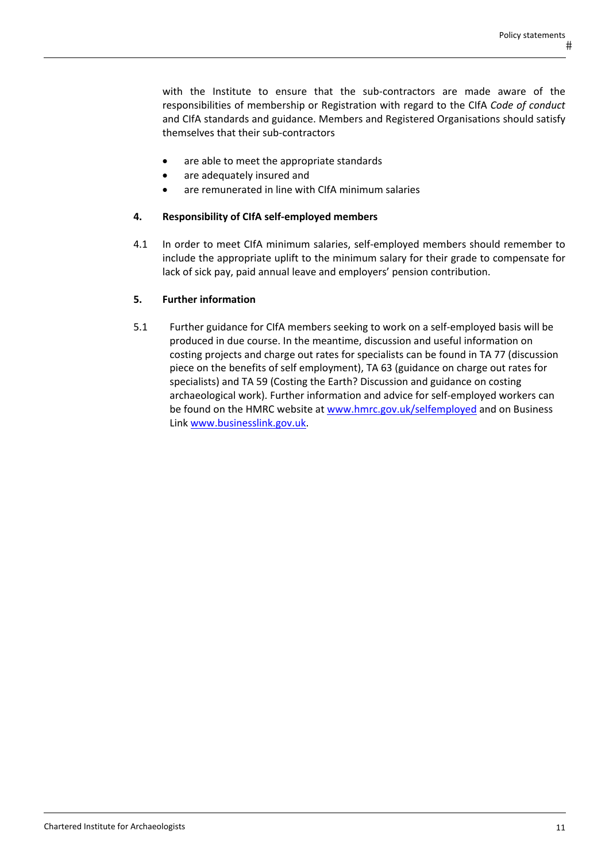with the Institute to ensure that the sub-contractors are made aware of the responsibilities of membership or Registration with regard to the CIfA *Code of conduct* and CIfA standards and guidance. Members and Registered Organisations should satisfy themselves that their sub‐contractors

- are able to meet the appropriate standards
- are adequately insured and
- are remunerated in line with CIfA minimum salaries

# **4. Responsibility of CIfA self‐employed members**

4.1 In order to meet CIfA minimum salaries, self‐employed members should remember to include the appropriate uplift to the minimum salary for their grade to compensate for lack of sick pay, paid annual leave and employers' pension contribution.

# **5. Further information**

5.1 Further guidance for CIfA members seeking to work on a self-employed basis will be produced in due course. In the meantime, discussion and useful information on costing projects and charge out rates for specialists can be found in TA 77 (discussion piece on the benefits of self employment), TA 63 (guidance on charge out rates for specialists) and TA 59 (Costing the Earth? Discussion and guidance on costing archaeological work). Further information and advice for self‐employed workers can be found on the HMRC website at www.hmrc.gov.uk/selfemployed and on Business Link www.businesslink.gov.uk.